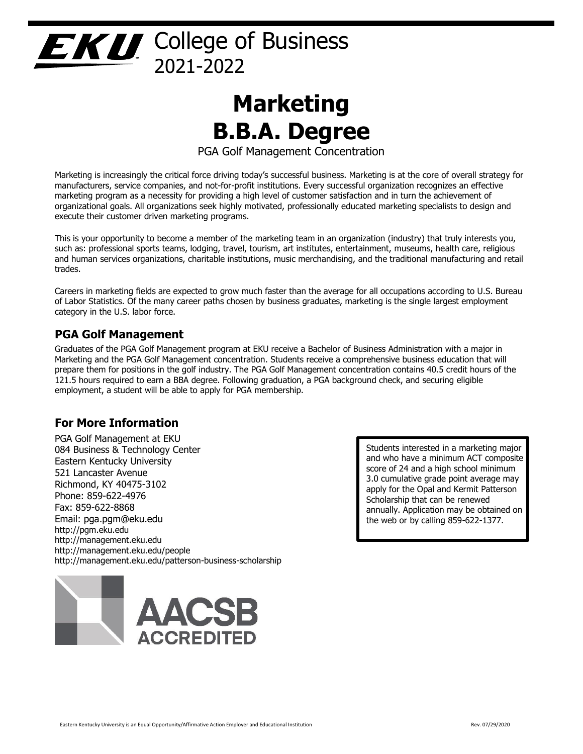## EXU College of Business 2021-2022

# **Marketing B.B.A. Degree**

PGA Golf Management Concentration

Marketing is increasingly the critical force driving today's successful business. Marketing is at the core of overall strategy for manufacturers, service companies, and not-for-profit institutions. Every successful organization recognizes an effective marketing program as a necessity for providing a high level of customer satisfaction and in turn the achievement of organizational goals. All organizations seek highly motivated, professionally educated marketing specialists to design and execute their customer driven marketing programs.

This is your opportunity to become a member of the marketing team in an organization (industry) that truly interests you, such as: professional sports teams, lodging, travel, tourism, art institutes, entertainment, museums, health care, religious and human services organizations, charitable institutions, music merchandising, and the traditional manufacturing and retail trades.

Careers in marketing fields are expected to grow much faster than the average for all occupations according to U.S. Bureau of Labor Statistics. Of the many career paths chosen by business graduates, marketing is the single largest employment category in the U.S. labor force.

#### **PGA Golf Management**

Graduates of the PGA Golf Management program at EKU receive a Bachelor of Business Administration with a major in Marketing and the PGA Golf Management concentration. Students receive a comprehensive business education that will prepare them for positions in the golf industry. The PGA Golf Management concentration contains 40.5 credit hours of the 121.5 hours required to earn a BBA degree. Following graduation, a PGA background check, and securing eligible employment, a student will be able to apply for PGA membership.

#### **For More Information**

PGA Golf Management at EKU 084 Business & Technology Center Eastern Kentucky University 521 Lancaster Avenue Richmond, KY 40475-3102 Phone: 859-622-4976 Fax: 859-622-8868 Email: pga.pgm@eku.edu http://pgm.eku.edu http://management.eku.edu http://management.eku.edu/people http://management.eku.edu/patterson-business-scholarship



Students interested in a marketing major and who have a minimum ACT composite score of 24 and a high school minimum 3.0 cumulative grade point average may apply for the Opal and Kermit Patterson Scholarship that can be renewed annually. Application may be obtained on the web or by calling 859-622-1377.